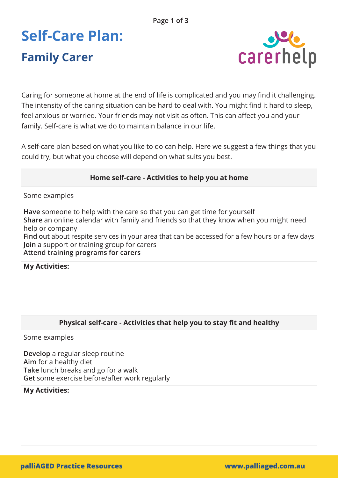# **Self-Care Plan: Family Carer**



Caring for someone at home at the end of life is complicated and you may find it challenging. The intensity of the caring situation can be hard to deal with. You might find it hard to sleep, feel anxious or worried. Your friends may not visit as often. This can affect you and your family. Self-care is what we do to maintain balance in our life.

A self-care plan based on what you like to do can help. Here we suggest a few things that you could try, but what you choose will depend on what suits you best.

## **Home self-care - Activities to help you at home**

Some examples

**Have** someone to help with the care so that you can get time for yourself **Share** an online calendar with family and friends so that they know when you might need help or company

**Find out** about respite services in your area that can be accessed for a few hours or a few days **Join** a support or training group for carers

**Attend training programs for carers**

**My Activities:** 

## **Physical self-care - Activities that help you to stay fit and healthy**

Some examples

**Develop** a regular sleep routine **Aim** for a healthy diet **Take** lunch breaks and go for a walk **Get** some exercise before/after work regularly

#### **My Activities:**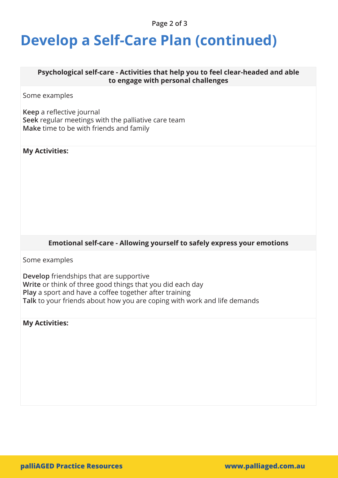#### **Page 2 of 3**

## **Develop a Self-Care Plan (continued)**

#### **Psychological self-care - Activities that help you to feel clear-headed and able to engage with personal challenges**

Some examples

**Keep** a reflective journal **Seek** regular meetings with the palliative care team **Make** time to be with friends and family

#### **My Activities:**

#### **Emotional self-care - Allowing yourself to safely express your emotions**

Some examples

**Develop** friendships that are supportive **Write** or think of three good things that you did each day **Play** a sport and have a coffee together after training **Talk** to your friends about how you are coping with work and life demands

**My Activities:**